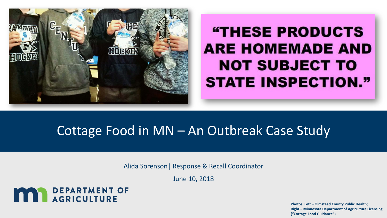

## **"THESE PRODUCTS ARE HOMEMADE AND NOT SUBJECT TO STATE INSPECTION."**

### Cottage Food in MN – An Outbreak Case Study

Alida Sorenson| Response & Recall Coordinator

June 10, 2018



**Photos: Left – Olmstead County Public Health; Right – Minnesota Department of Agriculture Licensing ("Cottage Food Guidance")**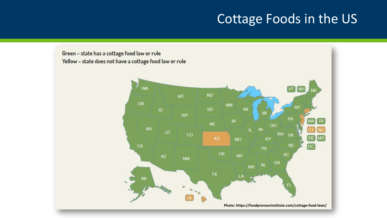#### Cottage Foods in the US

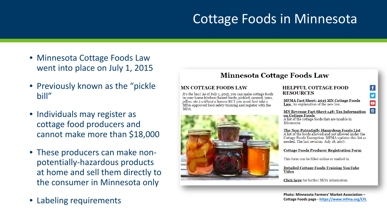### Cottage Foods in Minnesota

- Minnesota Cottage Foods Law went into place on July 1, 2015
- Previously known as the "pickle" bill"
- Individuals may register as cottage food producers and cannot make more than \$18,000
- These producers can make nonpotentially-hazardous products at home and sell them directly to the consumer in Minnesota only
- Labeling requirements

#### **Minnesota Cottage Foods Law**

#### **MN COTTAGE FOODS LAW**

It's the law! As of July 1, 2015, you can make cottage foods in your home kitchen (baked foods, pickled, canned, jams, jellies, etc.) without a license BUT you must first take a MDA-approved food safety training and register with the MDA.



#### **HELPFUL COTTAGE FOOD RESOURCES**

**MFMA Fact Sheet: 2015 MN Cottage Foods** Law An explanation of the new law.

#### **MN Revenue Fact Sheet 148: Tax Information** on Cottage Foods

 $\vert f \vert$ 

y

 $\blacksquare$ 

 $\boxed{6}$ 

A list of the cottage foods that are taxable in Minnesota.

#### The Non-Potentially Hazardous Foods List

A list of the foods allowed and not allowed under the Cottage Foods Exemption. MFMA updates this list as needed. The last revision: July 18, 2017.

#### **Cottage Foods Producer Registration Form**

This form can be filled online or mailed in.

**Detailed Cottage Foods Training YouTube** Video

Click here for further MDA information

**Photo: Minnesota Farmers' Market Association – Cottage Foods page - <https://www.mfma.org/CFL>**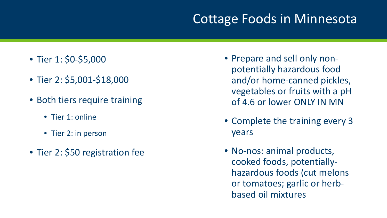### Cottage Foods in Minnesota

- Tier 1: \$0-\$5,000
- Tier 2: \$5,001-\$18,000
- Both tiers require training
	- Tier 1: online
	- Tier 2: in person
- Tier 2: \$50 registration fee
- Prepare and sell only nonpotentially hazardous food and/or home-canned pickles, vegetables or fruits with a pH of 4.6 or lower ONLY IN MN
- Complete the training every 3 years
- No-nos: animal products, cooked foods, potentiallyhazardous foods (cut melons or tomatoes; garlic or herbbased oil mixtures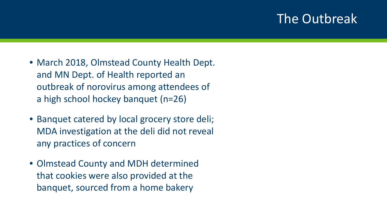#### The Outbreak

- March 2018, Olmstead County Health Dept. and MN Dept. of Health reported an outbreak of norovirus among attendees of a high school hockey banquet (n=26)
- Banquet catered by local grocery store deli; MDA investigation at the deli did not reveal any practices of concern
- Olmstead County and MDH determined that cookies were also provided at the banquet, sourced from a home bakery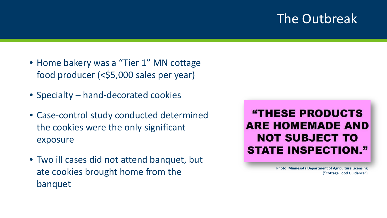#### The Outbreak

- Home bakery was a "Tier 1" MN cottage food producer (<\$5,000 sales per year)
- Specialty hand-decorated cookies
- Case-control study conducted determined the cookies were the only significant exposure
- Two ill cases did not attend banquet, but ate cookies brought home from the banquet

**"THESE PRODUCTS ARE HOMEMADE AND NOT SUBJECT TO STATE INSPECTION."** 

> **Photo: Minnesota Department of Agriculture Licensing ("Cottage Food Guidance")**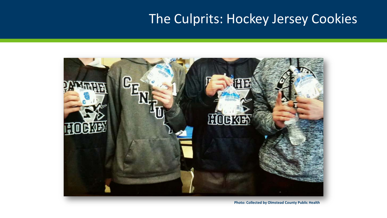### The Culprits: Hockey Jersey Cookies



**Photo: Collected by Olmstead County Public Health**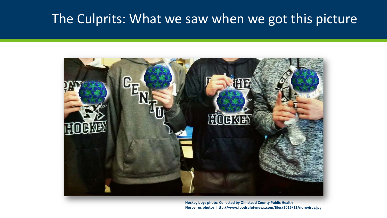### The Culprits: What we saw when we got this picture



**Hockey boys photo: Collected by Olmstead County Public Health Norovirus photos: http://www.foodsafetynews.com/files/2015/12/norovirus.jpg**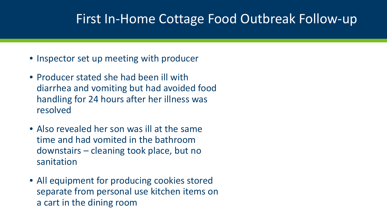#### First In-Home Cottage Food Outbreak Follow-up

- Inspector set up meeting with producer
- Producer stated she had been ill with diarrhea and vomiting but had avoided food handling for 24 hours after her illness was resolved
- Also revealed her son was ill at the same time and had vomited in the bathroom downstairs – cleaning took place, but no sanitation
- All equipment for producing cookies stored separate from personal use kitchen items on a cart in the dining room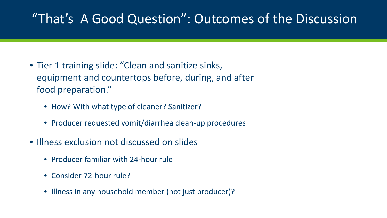### "That's A Good Question": Outcomes of the Discussion

- Tier 1 training slide: "Clean and sanitize sinks, equipment and countertops before, during, and after food preparation."
	- How? With what type of cleaner? Sanitizer?
	- Producer requested vomit/diarrhea clean-up procedures
- Illness exclusion not discussed on slides
	- Producer familiar with 24-hour rule
	- Consider 72-hour rule?
	- Illness in any household member (not just producer)?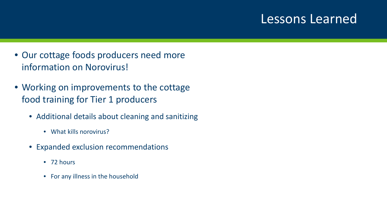#### Lessons Learned

- Our cottage foods producers need more information on Norovirus!
- Working on improvements to the cottage food training for Tier 1 producers
	- Additional details about cleaning and sanitizing
		- What kills norovirus?
	- Expanded exclusion recommendations
		- 72 hours
		- For any illness in the household